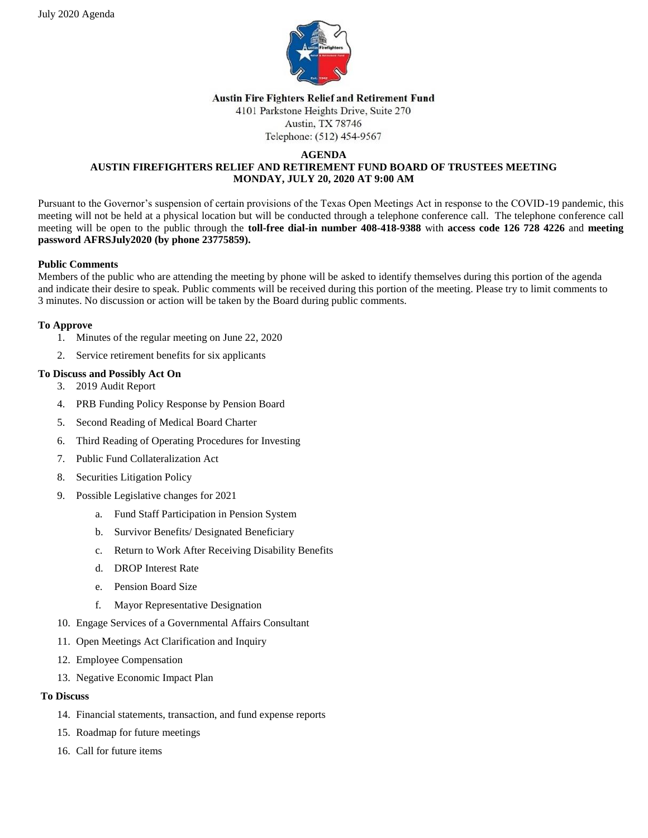

#### **Austin Fire Fighters Relief and Retirement Fund**

4101 Parkstone Heights Drive, Suite 270 Austin, TX 78746

Telephone: (512) 454-9567

#### **AGENDA AUSTIN FIREFIGHTERS RELIEF AND RETIREMENT FUND BOARD OF TRUSTEES MEETING MONDAY, JULY 20, 2020 AT 9:00 AM**

Pursuant to the Governor's suspension of certain provisions of the Texas Open Meetings Act in response to the COVID-19 pandemic, this meeting will not be held at a physical location but will be conducted through a telephone conference call. The telephone conference call meeting will be open to the public through the **toll-free dial-in number 408-418-9388** with **access code 126 728 4226** and **meeting password AFRSJuly2020 (by phone 23775859).**

# **Public Comments**

Members of the public who are attending the meeting by phone will be asked to identify themselves during this portion of the agenda and indicate their desire to speak. Public comments will be received during this portion of the meeting. Please try to limit comments to 3 minutes. No discussion or action will be taken by the Board during public comments.

# **To Approve**

- 1. Minutes of the regular meeting on June 22, 2020
- 2. Service retirement benefits for six applicants

# **To Discuss and Possibly Act On**

- 3. 2019 Audit Report
- 4. PRB Funding Policy Response by Pension Board
- 5. Second Reading of Medical Board Charter
- 6. Third Reading of Operating Procedures for Investing
- 7. Public Fund Collateralization Act
- 8. Securities Litigation Policy
- 9. Possible Legislative changes for 2021
	- a. Fund Staff Participation in Pension System
	- b. Survivor Benefits/ Designated Beneficiary
	- c. Return to Work After Receiving Disability Benefits
	- d. DROP Interest Rate
	- e. Pension Board Size
	- f. Mayor Representative Designation
- 10. Engage Services of a Governmental Affairs Consultant
- 11. Open Meetings Act Clarification and Inquiry
- 12. Employee Compensation
- 13. Negative Economic Impact Plan

#### **To Discuss**

- 14. Financial statements, transaction, and fund expense reports
- 15. Roadmap for future meetings
- 16. Call for future items